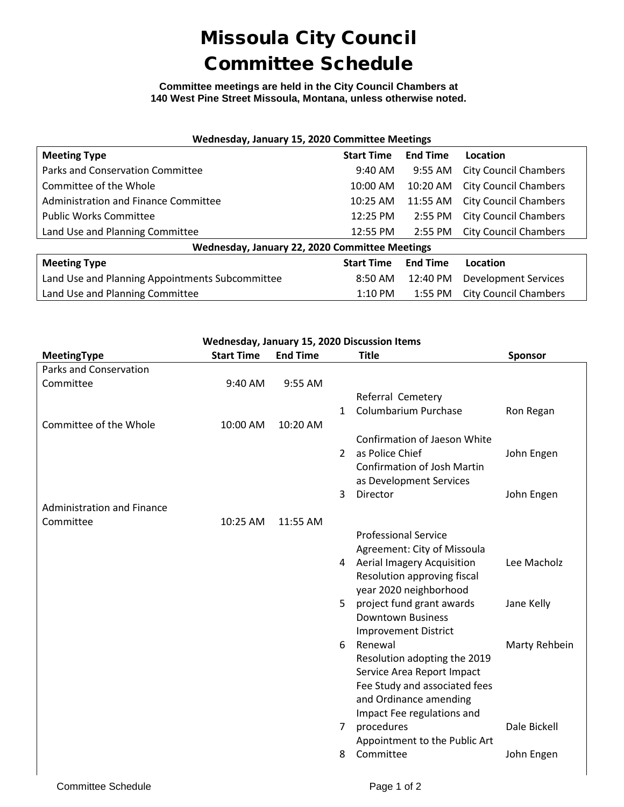## Missoula City Council Committee Schedule

**Committee meetings are held in the City Council Chambers at 140 West Pine Street Missoula, Montana, unless otherwise noted.**

| Wednesday, January 15, 2020 Committee Meetings  |                   |                 |                              |  |  |  |  |
|-------------------------------------------------|-------------------|-----------------|------------------------------|--|--|--|--|
| <b>Meeting Type</b>                             | <b>Start Time</b> | <b>End Time</b> | Location                     |  |  |  |  |
| Parks and Conservation Committee                | $9:40$ AM         | $9:55$ AM       | <b>City Council Chambers</b> |  |  |  |  |
| Committee of the Whole                          | 10:00 AM          | $10:20$ AM      | <b>City Council Chambers</b> |  |  |  |  |
| Administration and Finance Committee            | 10:25 AM          | 11:55 AM        | <b>City Council Chambers</b> |  |  |  |  |
| <b>Public Works Committee</b>                   | 12:25 PM          | $2:55$ PM       | <b>City Council Chambers</b> |  |  |  |  |
| Land Use and Planning Committee                 | 12:55 PM          | 2:55 PM         | <b>City Council Chambers</b> |  |  |  |  |
| Wednesday, January 22, 2020 Committee Meetings  |                   |                 |                              |  |  |  |  |
| <b>Meeting Type</b>                             | <b>Start Time</b> | <b>End Time</b> | Location                     |  |  |  |  |
| Land Use and Planning Appointments Subcommittee | $8:50$ AM         | 12:40 PM        | <b>Development Services</b>  |  |  |  |  |
| Land Use and Planning Committee                 | $1:10$ PM         | $1:55$ PM       | <b>City Council Chambers</b> |  |  |  |  |

| Wednesday, January 15, 2020 Discussion Items |                   |                 |                |                                     |                |  |  |  |
|----------------------------------------------|-------------------|-----------------|----------------|-------------------------------------|----------------|--|--|--|
| <b>MeetingType</b>                           | <b>Start Time</b> | <b>End Time</b> |                | <b>Title</b>                        | <b>Sponsor</b> |  |  |  |
| Parks and Conservation                       |                   |                 |                |                                     |                |  |  |  |
| Committee                                    | 9:40 AM           | 9:55 AM         |                |                                     |                |  |  |  |
|                                              |                   |                 |                | Referral Cemetery                   |                |  |  |  |
|                                              |                   |                 | $\mathbf{1}$   | <b>Columbarium Purchase</b>         | Ron Regan      |  |  |  |
| Committee of the Whole                       | 10:00 AM          | 10:20 AM        |                |                                     |                |  |  |  |
|                                              |                   |                 |                | <b>Confirmation of Jaeson White</b> |                |  |  |  |
|                                              |                   |                 | $\mathcal{L}$  | as Police Chief                     | John Engen     |  |  |  |
|                                              |                   |                 |                | <b>Confirmation of Josh Martin</b>  |                |  |  |  |
|                                              |                   |                 |                | as Development Services             |                |  |  |  |
|                                              |                   |                 | 3              | Director                            | John Engen     |  |  |  |
| <b>Administration and Finance</b>            |                   |                 |                |                                     |                |  |  |  |
| Committee                                    | 10:25 AM          | 11:55 AM        |                |                                     |                |  |  |  |
|                                              |                   |                 |                | <b>Professional Service</b>         |                |  |  |  |
|                                              |                   |                 |                | Agreement: City of Missoula         |                |  |  |  |
|                                              |                   |                 |                | 4 Aerial Imagery Acquisition        | Lee Macholz    |  |  |  |
|                                              |                   |                 |                | Resolution approving fiscal         |                |  |  |  |
|                                              |                   |                 |                | year 2020 neighborhood              |                |  |  |  |
|                                              |                   |                 | 5              | project fund grant awards           | Jane Kelly     |  |  |  |
|                                              |                   |                 |                | <b>Downtown Business</b>            |                |  |  |  |
|                                              |                   |                 |                | <b>Improvement District</b>         |                |  |  |  |
|                                              |                   |                 | 6              | Renewal                             | Marty Rehbein  |  |  |  |
|                                              |                   |                 |                | Resolution adopting the 2019        |                |  |  |  |
|                                              |                   |                 |                | Service Area Report Impact          |                |  |  |  |
|                                              |                   |                 |                | Fee Study and associated fees       |                |  |  |  |
|                                              |                   |                 |                | and Ordinance amending              |                |  |  |  |
|                                              |                   |                 |                | Impact Fee regulations and          |                |  |  |  |
|                                              |                   |                 | 7 <sup>7</sup> | procedures                          | Dale Bickell   |  |  |  |
|                                              |                   |                 |                | Appointment to the Public Art       |                |  |  |  |
|                                              |                   |                 | 8              | Committee                           | John Engen     |  |  |  |
|                                              |                   |                 |                |                                     |                |  |  |  |